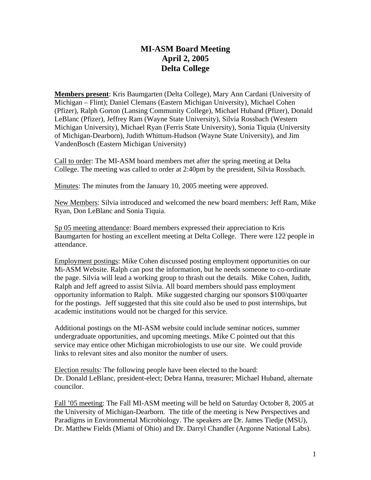## **MI-ASM Board Meeting April 2, 2005 Delta College**

**Members present**: Kris Baumgarten (Delta College), Mary Ann Cardani (University of Michigan – Flint); Daniel Clemans (Eastern Michigan University), Michael Cohen (Pfizer), Ralph Gorton (Lansing Community College), Michael Huband (Pfizer), Donald LeBlanc (Pfizer), Jeffrey Ram (Wayne State University), Silvia Rossbach (Western Michigan University), Michael Ryan (Ferris State University), Sonia Tiquia (University of Michigan-Dearborn), Judith Whittum-Hudson (Wayne State University), and Jim VandenBosch (Eastern Michigan University)

Call to order: The MI-ASM board members met after the spring meeting at Delta College. The meeting was called to order at 2:40pm by the president, Silvia Rossbach.

Minutes: The minutes from the January 10, 2005 meeting were approved.

New Members: Silvia introduced and welcomed the new board members: Jeff Ram, Mike Ryan, Don LeBlanc and Sonia Tiquia.

Sp 05 meeting attendance: Board members expressed their appreciation to Kris Baumgarten for hosting an excellent meeting at Delta College. There were 122 people in attendance.

Employment postings: Mike Cohen discussed posting employment opportunities on our Mi-ASM Website. Ralph can post the information, but he needs someone to co-ordinate the page. Silvia will lead a working group to thrash out the details. Mike Cohen, Judith, Ralph and Jeff agreed to assist Silvia. All board members should pass employment opportunity information to Ralph. Mike suggested charging our sponsors \$100/quarter for the postings. Jeff suggested that this site could also be used to post internships, but academic institutions would not be charged for this service.

Additional postings on the MI-ASM website could include seminar notices, summer undergraduate opportunities, and upcoming meetings. Mike C pointed out that this service may entice other Michigan microbiologists to use our site. We could provide links to relevant sites and also monitor the number of users.

Election results: The following people have been elected to the board: Dr. Donald LeBlanc, president-elect; Debra Hanna, treasurer; Michael Huband, alternate councilor.

Fall '05 meeting: The Fall MI-ASM meeting will be held on Saturday October 8, 2005 at the University of Michigan-Dearborn. The title of the meeting is New Perspectives and Paradigms in Environmental Microbiology. The speakers are Dr. James Tiedje (MSU), Dr. Matthew Fields (Miami of Ohio) and Dr. Darryl Chandler (Argonne National Labs).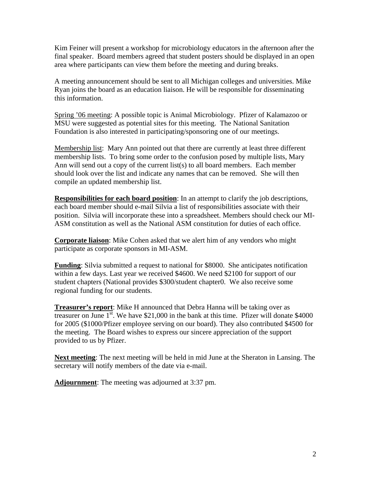Kim Feiner will present a workshop for microbiology educators in the afternoon after the final speaker. Board members agreed that student posters should be displayed in an open area where participants can view them before the meeting and during breaks.

A meeting announcement should be sent to all Michigan colleges and universities. Mike Ryan joins the board as an education liaison. He will be responsible for disseminating this information.

Spring '06 meeting: A possible topic is Animal Microbiology. Pfizer of Kalamazoo or MSU were suggested as potential sites for this meeting. The National Sanitation Foundation is also interested in participating/sponsoring one of our meetings.

Membership list: Mary Ann pointed out that there are currently at least three different membership lists. To bring some order to the confusion posed by multiple lists, Mary Ann will send out a copy of the current list(s) to all board members. Each member should look over the list and indicate any names that can be removed. She will then compile an updated membership list.

**Responsibilities for each board position**: In an attempt to clarify the job descriptions, each board member should e-mail Silvia a list of responsibilities associate with their position. Silvia will incorporate these into a spreadsheet. Members should check our MI-ASM constitution as well as the National ASM constitution for duties of each office.

**Corporate liaison**: Mike Cohen asked that we alert him of any vendors who might participate as corporate sponsors in MI-ASM.

**Funding**: Silvia submitted a request to national for \$8000. She anticipates notification within a few days. Last year we received \$4600. We need \$2100 for support of our student chapters (National provides \$300/student chapter0. We also receive some regional funding for our students.

**Treasurer's report**: Mike H announced that Debra Hanna will be taking over as treasurer on June  $1^{st}$ . We have \$21,000 in the bank at this time. Pfizer will donate \$4000 for 2005 (\$1000/Pfizer employee serving on our board). They also contributed \$4500 for the meeting. The Board wishes to express our sincere appreciation of the support provided to us by Pfizer.

**Next meeting**: The next meeting will be held in mid June at the Sheraton in Lansing. The secretary will notify members of the date via e-mail.

**Adjournment**: The meeting was adjourned at 3:37 pm.